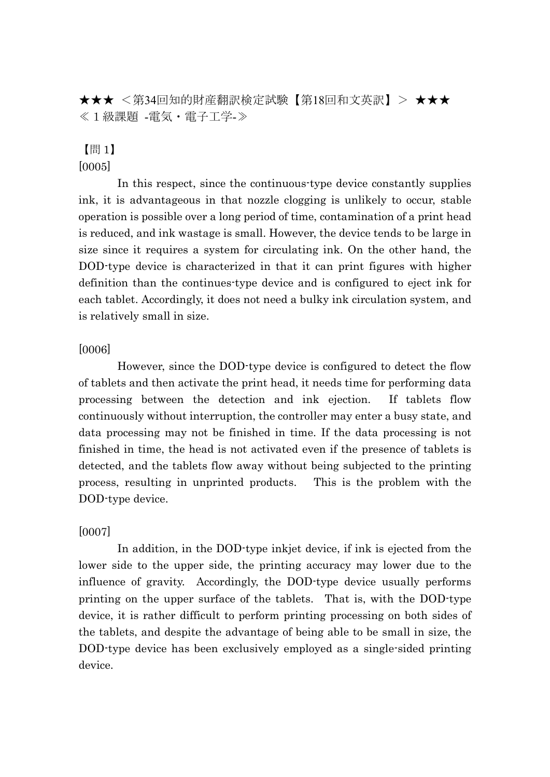★★★ <第34回知的財産翻訳検定試験【第18回和文英訳】> ★★★ ≪1級課題 -電気・電子工学-≫

【問 1】 [0005]

In this respect, since the continuous-type device constantly supplies ink, it is advantageous in that nozzle clogging is unlikely to occur, stable operation is possible over a long period of time, contamination of a print head is reduced, and ink wastage is small. However, the device tends to be large in size since it requires a system for circulating ink. On the other hand, the DOD-type device is characterized in that it can print figures with higher definition than the continues-type device and is configured to eject ink for each tablet. Accordingly, it does not need a bulky ink circulation system, and is relatively small in size.

## [0006]

However, since the DOD-type device is configured to detect the flow of tablets and then activate the print head, it needs time for performing data processing between the detection and ink ejection. If tablets flow continuously without interruption, the controller may enter a busy state, and data processing may not be finished in time. If the data processing is not finished in time, the head is not activated even if the presence of tablets is detected, and the tablets flow away without being subjected to the printing process, resulting in unprinted products. This is the problem with the DOD-type device.

[0007]

In addition, in the DOD-type inkjet device, if ink is ejected from the lower side to the upper side, the printing accuracy may lower due to the influence of gravity. Accordingly, the DOD-type device usually performs printing on the upper surface of the tablets. That is, with the DOD-type device, it is rather difficult to perform printing processing on both sides of the tablets, and despite the advantage of being able to be small in size, the DOD-type device has been exclusively employed as a single-sided printing device.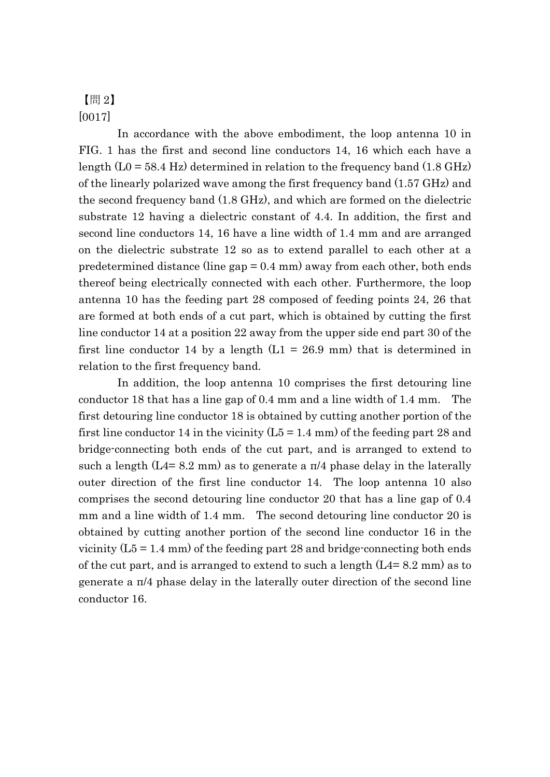## 【問 2】 [0017]

In accordance with the above embodiment, the loop antenna 10 in FIG. 1 has the first and second line conductors 14, 16 which each have a length  $(L0 = 58.4 \text{ Hz})$  determined in relation to the frequency band  $(1.8 \text{ GHz})$ of the linearly polarized wave among the first frequency band (1.57 GHz) and the second frequency band (1.8 GHz), and which are formed on the dielectric substrate 12 having a dielectric constant of 4.4. In addition, the first and second line conductors 14, 16 have a line width of 1.4 mm and are arranged on the dielectric substrate 12 so as to extend parallel to each other at a predetermined distance (line  $gap = 0.4$  mm) away from each other, both ends thereof being electrically connected with each other. Furthermore, the loop antenna 10 has the feeding part 28 composed of feeding points 24, 26 that are formed at both ends of a cut part, which is obtained by cutting the first line conductor 14 at a position 22 away from the upper side end part 30 of the first line conductor 14 by a length  $(L1 = 26.9 \text{ mm})$  that is determined in relation to the first frequency band.

In addition, the loop antenna 10 comprises the first detouring line conductor 18 that has a line gap of 0.4 mm and a line width of 1.4 mm. The first detouring line conductor 18 is obtained by cutting another portion of the first line conductor 14 in the vicinity  $(L5 = 1.4 \text{ mm})$  of the feeding part 28 and bridge-connecting both ends of the cut part, and is arranged to extend to such a length  $(L4=8.2 \text{ mm})$  as to generate a  $\pi/4$  phase delay in the laterally outer direction of the first line conductor 14. The loop antenna 10 also comprises the second detouring line conductor 20 that has a line gap of 0.4 mm and a line width of 1.4 mm. The second detouring line conductor 20 is obtained by cutting another portion of the second line conductor 16 in the vicinity  $(L5 = 1.4 \text{ mm})$  of the feeding part 28 and bridge-connecting both ends of the cut part, and is arranged to extend to such a length  $(L4=8.2 \text{ mm})$  as to generate a π/4 phase delay in the laterally outer direction of the second line conductor 16.